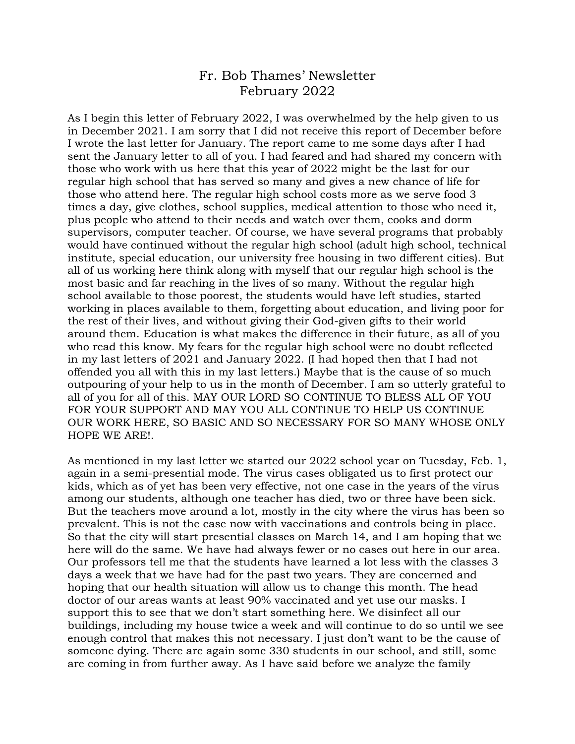## Fr. Bob Thames' Newsletter February 2022

As I begin this letter of February 2022, I was overwhelmed by the help given to us in December 2021. I am sorry that I did not receive this report of December before I wrote the last letter for January. The report came to me some days after I had sent the January letter to all of you. I had feared and had shared my concern with those who work with us here that this year of 2022 might be the last for our regular high school that has served so many and gives a new chance of life for those who attend here. The regular high school costs more as we serve food 3 times a day, give clothes, school supplies, medical attention to those who need it, plus people who attend to their needs and watch over them, cooks and dorm supervisors, computer teacher. Of course, we have several programs that probably would have continued without the regular high school (adult high school, technical institute, special education, our university free housing in two different cities). But all of us working here think along with myself that our regular high school is the most basic and far reaching in the lives of so many. Without the regular high school available to those poorest, the students would have left studies, started working in places available to them, forgetting about education, and living poor for the rest of their lives, and without giving their God-given gifts to their world around them. Education is what makes the difference in their future, as all of you who read this know. My fears for the regular high school were no doubt reflected in my last letters of 2021 and January 2022. (I had hoped then that I had not offended you all with this in my last letters.) Maybe that is the cause of so much outpouring of your help to us in the month of December. I am so utterly grateful to all of you for all of this. MAY OUR LORD SO CONTINUE TO BLESS ALL OF YOU FOR YOUR SUPPORT AND MAY YOU ALL CONTINUE TO HELP US CONTINUE OUR WORK HERE, SO BASIC AND SO NECESSARY FOR SO MANY WHOSE ONLY HOPE WE ARE!.

As mentioned in my last letter we started our 2022 school year on Tuesday, Feb. 1, again in a semi-presential mode. The virus cases obligated us to first protect our kids, which as of yet has been very effective, not one case in the years of the virus among our students, although one teacher has died, two or three have been sick. But the teachers move around a lot, mostly in the city where the virus has been so prevalent. This is not the case now with vaccinations and controls being in place. So that the city will start presential classes on March 14, and I am hoping that we here will do the same. We have had always fewer or no cases out here in our area. Our professors tell me that the students have learned a lot less with the classes 3 days a week that we have had for the past two years. They are concerned and hoping that our health situation will allow us to change this month. The head doctor of our areas wants at least 90% vaccinated and yet use our masks. I support this to see that we don't start something here. We disinfect all our buildings, including my house twice a week and will continue to do so until we see enough control that makes this not necessary. I just don't want to be the cause of someone dying. There are again some 330 students in our school, and still, some are coming in from further away. As I have said before we analyze the family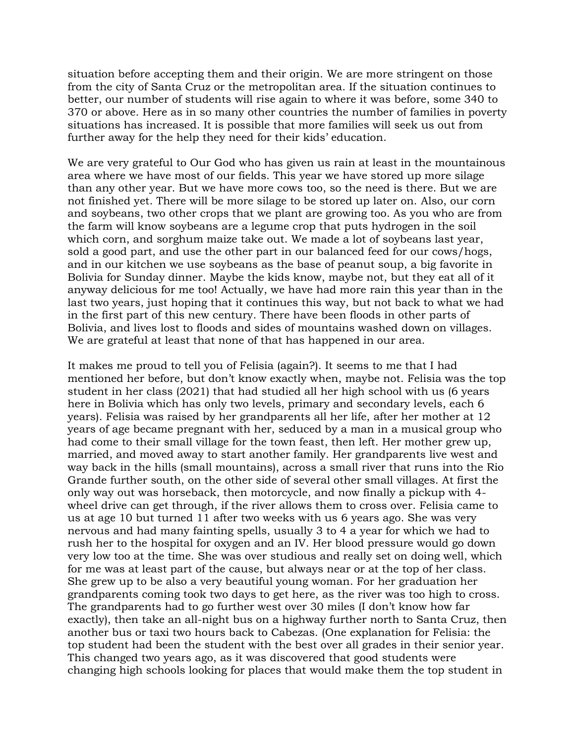situation before accepting them and their origin. We are more stringent on those from the city of Santa Cruz or the metropolitan area. If the situation continues to better, our number of students will rise again to where it was before, some 340 to 370 or above. Here as in so many other countries the number of families in poverty situations has increased. It is possible that more families will seek us out from further away for the help they need for their kids' education.

We are very grateful to Our God who has given us rain at least in the mountainous area where we have most of our fields. This year we have stored up more silage than any other year. But we have more cows too, so the need is there. But we are not finished yet. There will be more silage to be stored up later on. Also, our corn and soybeans, two other crops that we plant are growing too. As you who are from the farm will know soybeans are a legume crop that puts hydrogen in the soil which corn, and sorghum maize take out. We made a lot of soybeans last year, sold a good part, and use the other part in our balanced feed for our cows/hogs, and in our kitchen we use soybeans as the base of peanut soup, a big favorite in Bolivia for Sunday dinner. Maybe the kids know, maybe not, but they eat all of it anyway delicious for me too! Actually, we have had more rain this year than in the last two years, just hoping that it continues this way, but not back to what we had in the first part of this new century. There have been floods in other parts of Bolivia, and lives lost to floods and sides of mountains washed down on villages. We are grateful at least that none of that has happened in our area.

It makes me proud to tell you of Felisia (again?). It seems to me that I had mentioned her before, but don't know exactly when, maybe not. Felisia was the top student in her class (2021) that had studied all her high school with us (6 years here in Bolivia which has only two levels, primary and secondary levels, each 6 years). Felisia was raised by her grandparents all her life, after her mother at 12 years of age became pregnant with her, seduced by a man in a musical group who had come to their small village for the town feast, then left. Her mother grew up, married, and moved away to start another family. Her grandparents live west and way back in the hills (small mountains), across a small river that runs into the Rio Grande further south, on the other side of several other small villages. At first the only way out was horseback, then motorcycle, and now finally a pickup with 4 wheel drive can get through, if the river allows them to cross over. Felisia came to us at age 10 but turned 11 after two weeks with us 6 years ago. She was very nervous and had many fainting spells, usually 3 to 4 a year for which we had to rush her to the hospital for oxygen and an IV. Her blood pressure would go down very low too at the time. She was over studious and really set on doing well, which for me was at least part of the cause, but always near or at the top of her class. She grew up to be also a very beautiful young woman. For her graduation her grandparents coming took two days to get here, as the river was too high to cross. The grandparents had to go further west over 30 miles (I don't know how far exactly), then take an all-night bus on a highway further north to Santa Cruz, then another bus or taxi two hours back to Cabezas. (One explanation for Felisia: the top student had been the student with the best over all grades in their senior year. This changed two years ago, as it was discovered that good students were changing high schools looking for places that would make them the top student in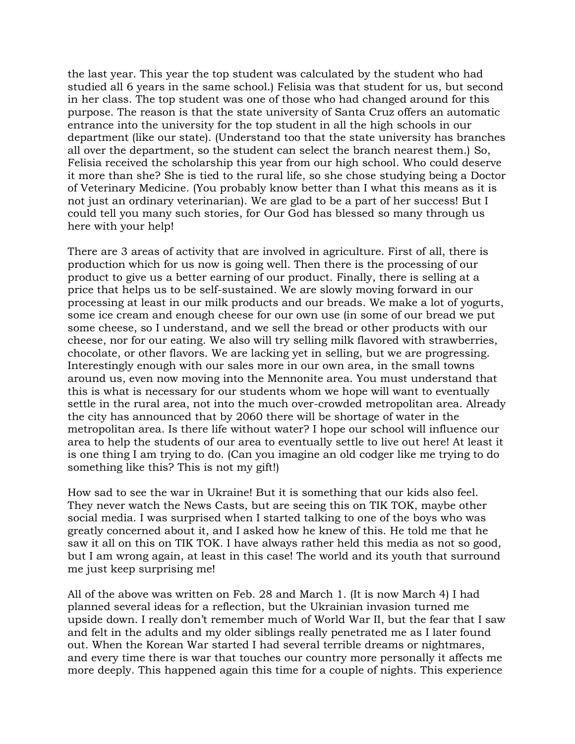the last year. This year the top student was calculated by the student who had studied all 6 years in the same school.) Felisia was that student for us, but second in her class. The top student was one of those who had changed around for this purpose. The reason is that the state university of Santa Cruz offers an automatic entrance into the university for the top student in all the high schools in our department (like our state). (Understand too that the state university has branches all over the department, so the student can select the branch nearest them.) So, Felisia received the scholarship this year from our high school. Who could deserve it more than she? She is tied to the rural life, so she chose studying being a Doctor of Veterinary Medicine. (You probably know better than I what this means as it is not just an ordinary veterinarian). We are glad to be a part of her success! But I could tell you many such stories, for Our God has blessed so many through us here with your help!

There are 3 areas of activity that are involved in agriculture. First of all, there is production which for us now is going well. Then there is the processing of our product to give us a better earning of our product. Finally, there is selling at a price that helps us to be self-sustained. We are slowly moving forward in our processing at least in our milk products and our breads. We make a lot of yogurts, some ice cream and enough cheese for our own use (in some of our bread we put some cheese, so I understand, and we sell the bread or other products with our cheese, nor for our eating. We also will try selling milk flavored with strawberries, chocolate, or other flavors. We are lacking yet in selling, but we are progressing. Interestingly enough with our sales more in our own area, in the small towns around us, even now moving into the Mennonite area. You must understand that this is what is necessary for our students whom we hope will want to eventually settle in the rural area, not into the much over-crowded metropolitan area. Already the city has announced that by 2060 there will be shortage of water in the metropolitan area. Is there life without water? I hope our school will influence our area to help the students of our area to eventually settle to live out here! At least it is one thing I am trying to do. (Can you imagine an old codger like me trying to do something like this? This is not my gift!)

How sad to see the war in Ukraine! But it is something that our kids also feel. They never watch the News Casts, but are seeing this on TIK TOK, maybe other social media. I was surprised when I started talking to one of the boys who was greatly concerned about it, and I asked how he knew of this. He told me that he saw it all on this on TIK TOK. I have always rather held this media as not so good, but I am wrong again, at least in this case! The world and its youth that surround me just keep surprising me!

All of the above was written on Feb. 28 and March 1. (It is now March 4) I had planned several ideas for a reflection, but the Ukrainian invasion turned me upside down. I really don't remember much of World War II, but the fear that I saw and felt in the adults and my older siblings really penetrated me as I later found out. When the Korean War started I had several terrible dreams or nightmares, and every time there is war that touches our country more personally it affects me more deeply. This happened again this time for a couple of nights. This experience